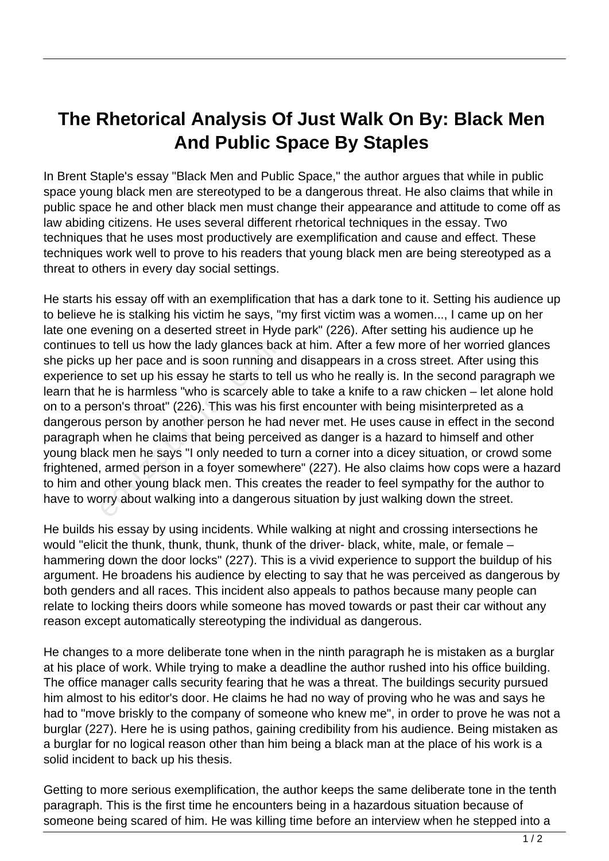## **The Rhetorical Analysis Of Just Walk On By: Black Men And Public Space By Staples**

In Brent Staple's essay "Black Men and Public Space," the author argues that while in public space young black men are stereotyped to be a dangerous threat. He also claims that while in public space he and other black men must change their appearance and attitude to come off as law abiding citizens. He uses several different rhetorical techniques in the essay. Two techniques that he uses most productively are exemplification and cause and effect. These techniques work well to prove to his readers that young black men are being stereotyped as a threat to others in every day social settings.

He starts his essay off with an exemplification that has a dark tone to it. Setting his audience up to believe he is stalking his victim he says, "my first victim was a women..., I came up on her late one evening on a deserted street in Hyde park" (226). After setting his audience up he continues to tell us how the lady glances back at him. After a few more of her worried glances she picks up her pace and is soon running and disappears in a cross street. After using this experience to set up his essay he starts to tell us who he really is. In the second paragraph we learn that he is harmless "who is scarcely able to take a knife to a raw chicken – let alone hold on to a person's throat" (226). This was his first encounter with being misinterpreted as a dangerous person by another person he had never met. He uses cause in effect in the second paragraph when he claims that being perceived as danger is a hazard to himself and other young black men he says "I only needed to turn a corner into a dicey situation, or crowd some frightened, armed person in a foyer somewhere" (227). He also claims how cops were a hazard to him and other young black men. This creates the reader to feel sympathy for the author to have to worry about walking into a dangerous situation by just walking down the street. to tell us how the lady glances back<br>up her pace and is soon running a<br>e to set up his essay he starts to te<br>ne is harmless "who is scarcely at<br>rson's throat" (226). This was his f<br>is person by another person he had<br>when h

He builds his essay by using incidents. While walking at night and crossing intersections he would "elicit the thunk, thunk, thunk, thunk of the driver- black, white, male, or female – hammering down the door locks" (227). This is a vivid experience to support the buildup of his argument. He broadens his audience by electing to say that he was perceived as dangerous by both genders and all races. This incident also appeals to pathos because many people can relate to locking theirs doors while someone has moved towards or past their car without any reason except automatically stereotyping the individual as dangerous.

He changes to a more deliberate tone when in the ninth paragraph he is mistaken as a burglar at his place of work. While trying to make a deadline the author rushed into his office building. The office manager calls security fearing that he was a threat. The buildings security pursued him almost to his editor's door. He claims he had no way of proving who he was and says he had to "move briskly to the company of someone who knew me", in order to prove he was not a burglar (227). Here he is using pathos, gaining credibility from his audience. Being mistaken as a burglar for no logical reason other than him being a black man at the place of his work is a solid incident to back up his thesis.

Getting to more serious exemplification, the author keeps the same deliberate tone in the tenth paragraph. This is the first time he encounters being in a hazardous situation because of someone being scared of him. He was killing time before an interview when he stepped into a